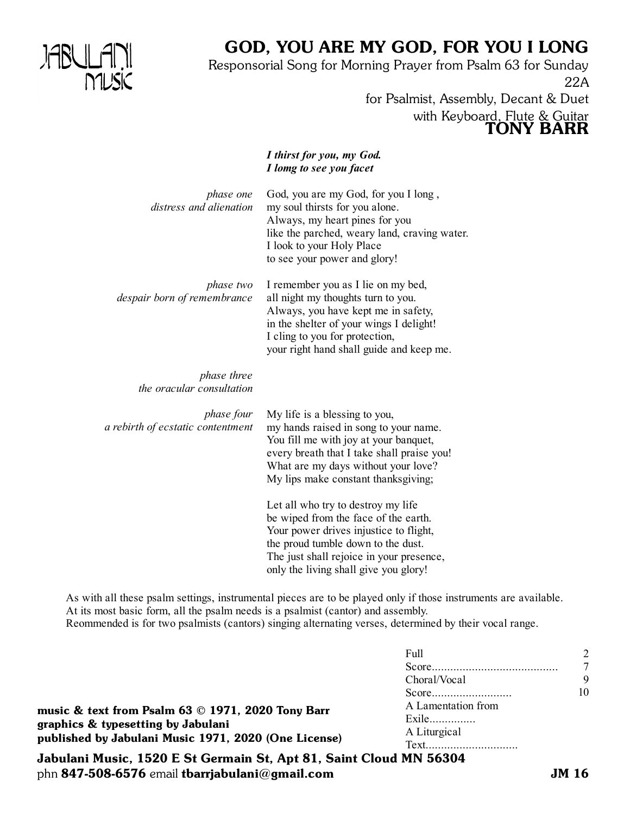

# GOD, YOU ARE MY GOD, FOR YOU I LONG

Responsorial Song for Morning Prayer from Psalm 63 for Sunday 22A for Psalmist, Assembly, Decant & Duet

with Keyboard, Flute & Guitar

TONY BARR

*I thirst for you, my God. I lomg to see you facet* God, you are my God, for you I long , my soul thirsts for you alone. Always, my heart pines for you like the parched, weary land, craving water. I look to your Holy Place to see your power and glory! I remember you as I lie on my bed, all night my thoughts turn to you. Always, you have kept me in safety, in the shelter of your wings I delight! I cling to you for protection, your right hand shall guide and keep me. My life is a blessing to you, my hands raised in song to your name. You fill me with joy at your banquet, every breath that I take shall praise you! What are my days without your love? My lips make constant thanksgiving; Let all who try to destroy my life be wiped from the face of the earth. Your power drives injustice to flight, the proud tumble down to the dust. The just shall rejoice in your presence, only the living shall give you glory! *phase one distress and alienation phase two despair born of remembrance phase three the oracular consultation phase four a rebirth of ecstatic contentment*

As with all these psalm settings, instrumental pieces are to be played only if those instruments are available. At its most basic form, all the psalm needs is a psalmist (cantor) and assembly. Reommended is for two psalmists (cantors) singing alternating verses, determined by their vocal range.

|                                                                                                                                                 | Full               |    |
|-------------------------------------------------------------------------------------------------------------------------------------------------|--------------------|----|
|                                                                                                                                                 | Choral/Vocal       | 9  |
| music & text from Psalm 63 © 1971, 2020 Tony Barr<br>graphics & typesetting by Jabulani<br>published by Jabulani Music 1971, 2020 (One License) |                    | 10 |
|                                                                                                                                                 | A Lamentation from |    |
|                                                                                                                                                 | Exile              |    |
|                                                                                                                                                 | A Liturgical       |    |
|                                                                                                                                                 | Text               |    |

Jabulani Music, 1520 E St Germain St, Apt 81, Saint Cloud MN 56304 phn 847-508-6576 email tbarriabulani@gmail.com  $JM_1$  JM 16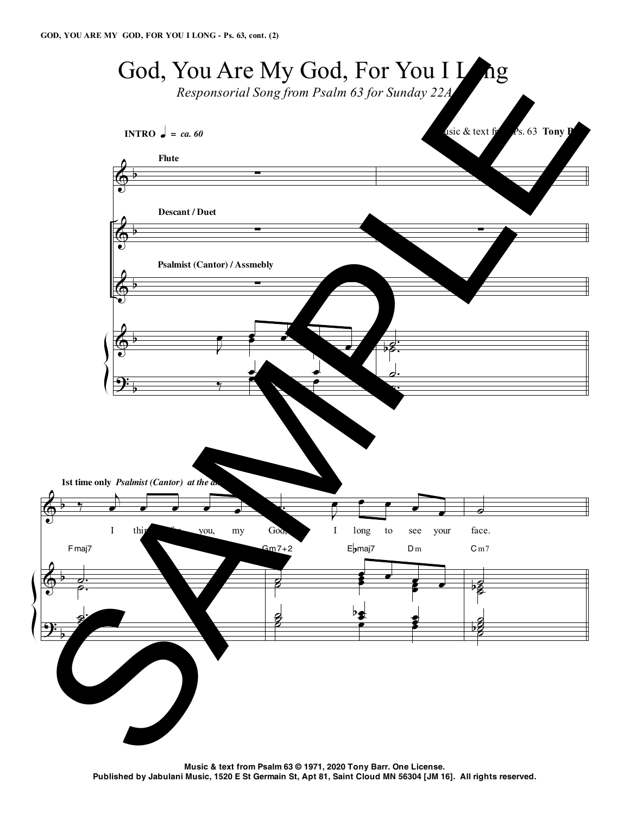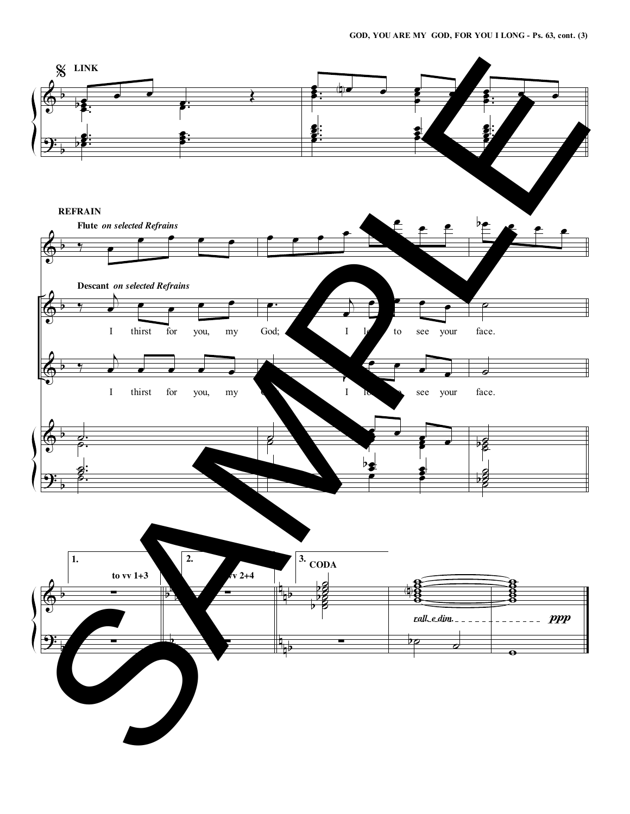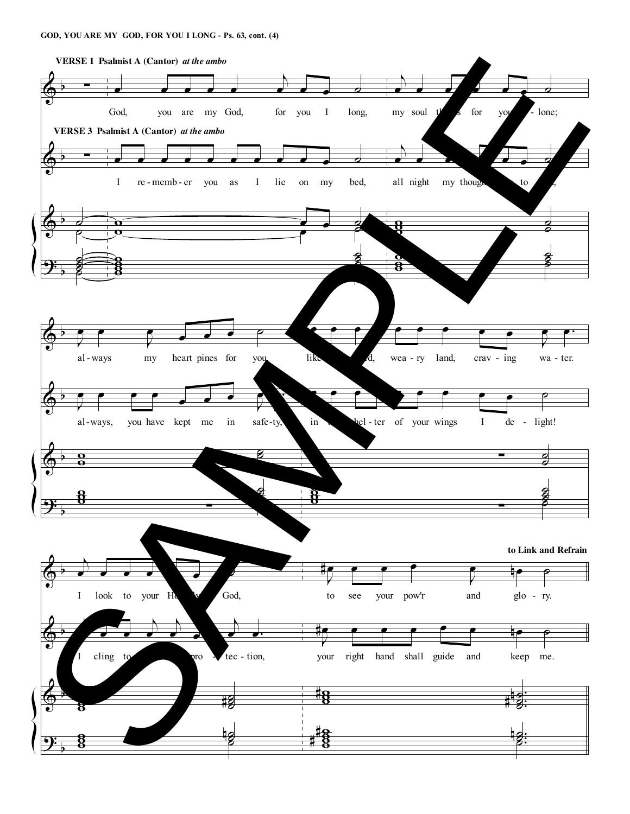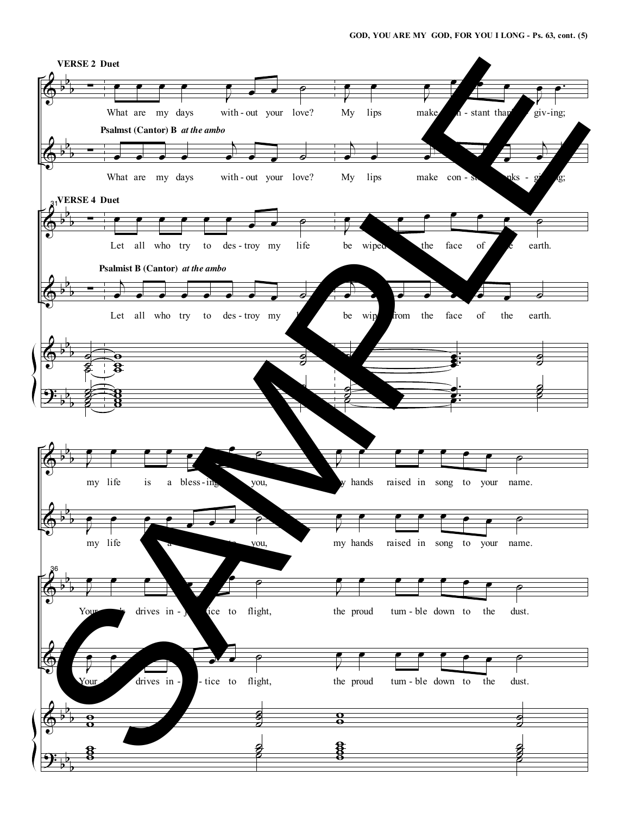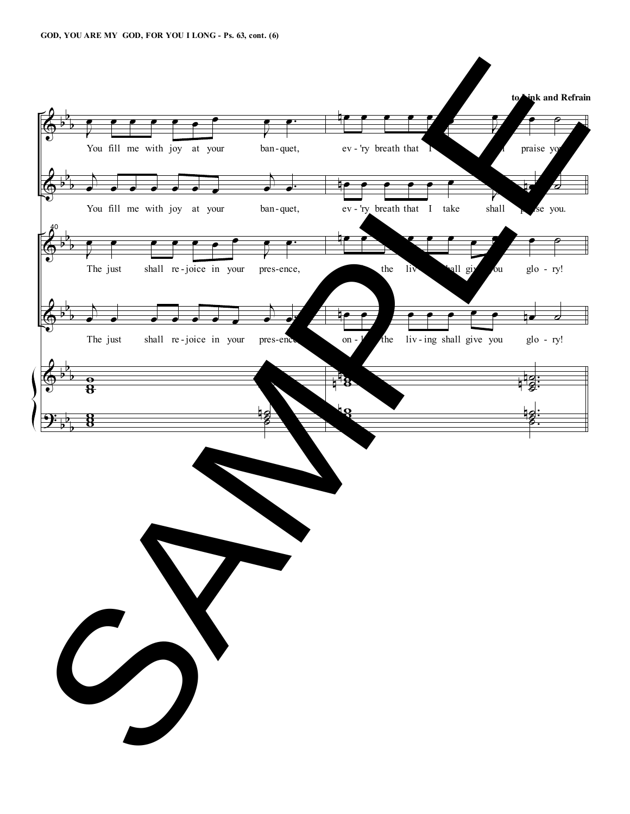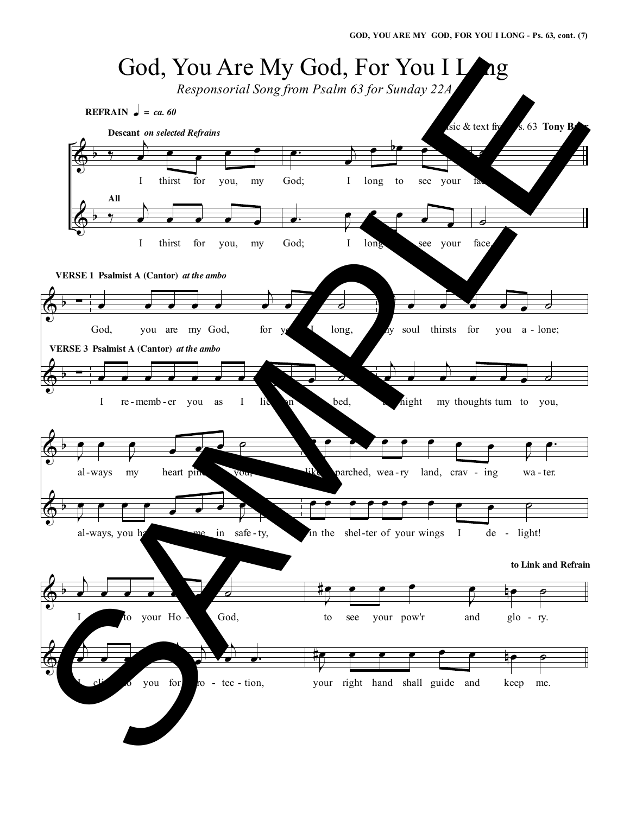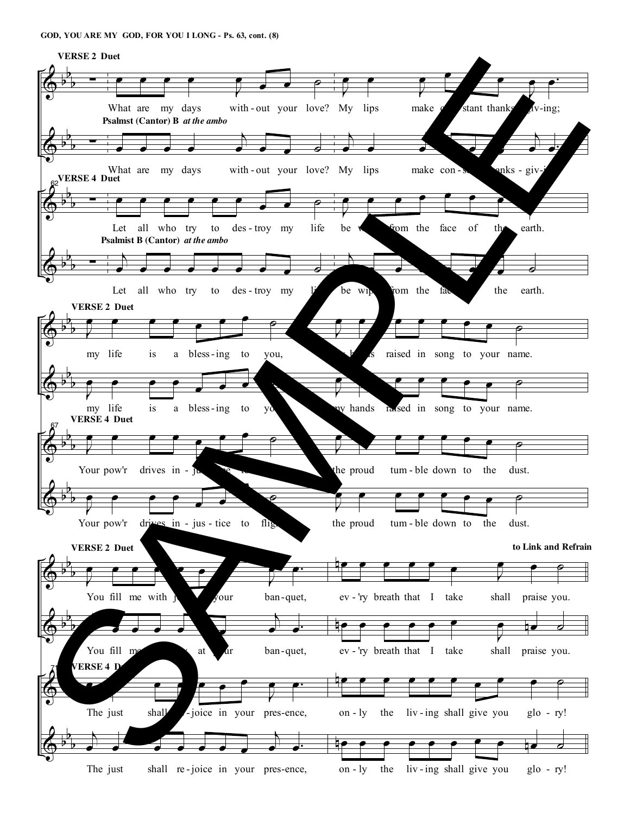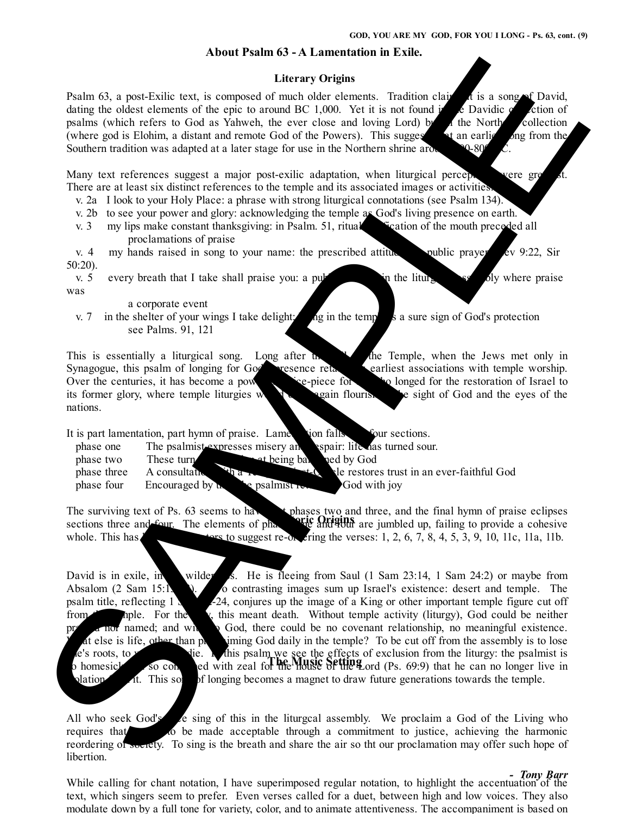### **About Psalm 63 - A Lamentation in Exile.**

#### **Literary Origins**

Psalm 63, a post-Exilic text, is composed of much older elements. Tradition clanistic is a song of David, dating the oldest elements of the epic to around BC 1,000. Yet it is not found in the Davidic ection of psalms (which refers to God as Yahweh, the ever close and loving Lord)  $\mu$  in the Northern collection (where god is Elohim, a distant and remote God of the Powers). This suggests that an earlier song from the Southern tradition was adapted at a later stage for use in the Northern shrine around  $9.8$ 

Many text references suggest a major post-exilic adaptation, when liturgical perceptions were greater. There are at least six distinct references to the temple and its associated images or activities.

- v. 2a I look to your Holy Place: a phrase with strong liturgical connotations (see Psalm 134).
- v. 2b to see your power and glory: acknowledging the temple as God's living presence on earth.
- v. 3 my lips make constant thanksgiving: in Psalm. 51, ritual purification of the mouth preceded all proclamations of praise

v. 4 my hands raised in song to your name: the prescribed attitude public prayer ( $\epsilon$ v 9:22, Sir 50:20).

v. 5 every breath that I take shall praise you: a public activity in the liturgical assembly where praise was

a corporate event

v. 7 in the shelter of your wings I take delight:  $\log$  in the temple is a sure sign of God's protection see Palms. 91, 121

This is essentially a liturgical song. Long after the state of the Temple, when the Jews met only in Synagogue, this psalm of longing for God's presence retains its earliest associations with temple worship. Over the centuries, it has become a powerful voice-piece for all plonged for the restoration of Israel to its former glory, where temple liturgies  $\mathbf w$  is the sight of God and the eyes of the nations.

It is part lamentation, part hymn of praise. Lamentation falls into four sections.

| phase one  | The psalmic vergsses misery and spair: life has turned sour. |                                            |
|------------|--------------------------------------------------------------|--------------------------------------------|
| phase two  | the being band by God<br>These tur                           |                                            |
|            | phase three A consultation                                   | the restores trust in an ever-faithful God |
| phase four | Encouraged by the psalmist                                   | God with joy                               |

The surviving text of Ps. 63 seems to have the phases two and three, and the final hymn of praise eclipses sections three and four. The elements of phases one and four are jumbled up, failing to provide a cohesive whole. This has lead to suggest re-ordering the verses:  $1, 2, 6, 7, 8, 4, 5, 3, 9, 10, 11c, 11a, 11b$ .

David is in exile, in wilder ss. He is fleeing from Saul (1 Sam 23:14, 1 Sam 24:2) or maybe from Absalom (2 Sam 15:13-3). Two contrasting images sum up Israel's existence: desert and temple. The psalm title, reflecting  $1 \times 2$ -24, conjures up the image of a King or other important temple figure cut off from the  $\lambda$ , this meant death. Without temple activity (liturgy), God could be neither named; and with a God, there could be no covenant relationship, no meaningful existence. hat else is life, other than proclaiming God daily in the temple? To be cut off from the assembly is to lose ne's roots, to white. In this psalm we see the effects of exclusion from the liturgy: the psalmist is so consumed with zeal for the Music Setting ord (Ps. 69:9) that he can no longer live in plation it. This so be longing becomes a magnet to draw future generations towards the temple. Using the particular to the spin of the spin of the spin of the spin of the spin of the spin of the spin of the spin of the spin of the spin of the spin of the spin of the spin of the spin of the spin of the spin of the s

All who seek God's  $\epsilon$  sing of this in the liturgcal assembly. We proclaim a God of the Living who requires the proof of be made acceptable through a commitment to justice, achieving the harmonic reordering of society. To sing is the breath and share the air so tht our proclamation may offer such hope of libertion.

While calling for chant notation, I have superimposed regular notation, to highlight the accentuation of the text, which singers seem to prefer. Even verses called for a duet, between high and low voices. They also modulate down by a full tone for variety, color, and to animate attentiveness. The accompaniment is based on

#### *- Tony Barr*